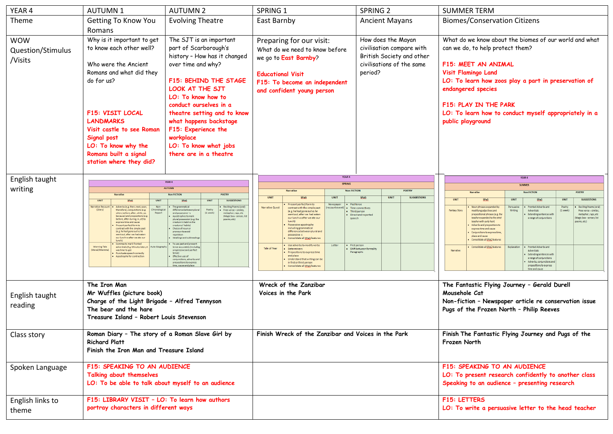| YEAR 4                                     | <b>AUTUMN1</b>                                                                                                                                                                                                                                                                                                                                                                                                                                                                                                                                                                                                                                                                  | <b>AUTUMN 2</b>                                                                                                                                                                                                                                                                                                                                                                                                                                                                                                                                                                                                                                                                      | SPRING 1                                                                                                                                                                                                                                                                                                                                                                                                                                                                                                                                                                                                                     | SPRING <sub>2</sub>                                                                                                                                                  | <b>SUMMER TERM</b>                                                                                                                                                                                                                                                                                                                                                                                                                                                                                                                                                                                                                                                                                                                                                                                                                                                                                                                                   |
|--------------------------------------------|---------------------------------------------------------------------------------------------------------------------------------------------------------------------------------------------------------------------------------------------------------------------------------------------------------------------------------------------------------------------------------------------------------------------------------------------------------------------------------------------------------------------------------------------------------------------------------------------------------------------------------------------------------------------------------|--------------------------------------------------------------------------------------------------------------------------------------------------------------------------------------------------------------------------------------------------------------------------------------------------------------------------------------------------------------------------------------------------------------------------------------------------------------------------------------------------------------------------------------------------------------------------------------------------------------------------------------------------------------------------------------|------------------------------------------------------------------------------------------------------------------------------------------------------------------------------------------------------------------------------------------------------------------------------------------------------------------------------------------------------------------------------------------------------------------------------------------------------------------------------------------------------------------------------------------------------------------------------------------------------------------------------|----------------------------------------------------------------------------------------------------------------------------------------------------------------------|------------------------------------------------------------------------------------------------------------------------------------------------------------------------------------------------------------------------------------------------------------------------------------------------------------------------------------------------------------------------------------------------------------------------------------------------------------------------------------------------------------------------------------------------------------------------------------------------------------------------------------------------------------------------------------------------------------------------------------------------------------------------------------------------------------------------------------------------------------------------------------------------------------------------------------------------------|
| Theme                                      | <b>Getting To Know You</b><br>Romans                                                                                                                                                                                                                                                                                                                                                                                                                                                                                                                                                                                                                                            | <b>Evolving Theatre</b>                                                                                                                                                                                                                                                                                                                                                                                                                                                                                                                                                                                                                                                              | East Barnby                                                                                                                                                                                                                                                                                                                                                                                                                                                                                                                                                                                                                  | <b>Ancient Mayans</b>                                                                                                                                                | <b>Biomes/Conservation Citizens</b>                                                                                                                                                                                                                                                                                                                                                                                                                                                                                                                                                                                                                                                                                                                                                                                                                                                                                                                  |
| <b>WOW</b><br>Question/Stimulus<br>/Visits | Why is it important to get<br>to know each other well?<br>Who were the Ancient<br>Romans and what did they<br>do for us?<br>F15: VISIT LOCAL<br><b>LANDMARKS</b><br>Visit castle to see Roman<br>Signal post<br>LO: To know why the<br>Romans built a signal<br>station where they did?                                                                                                                                                                                                                                                                                                                                                                                         | The SJT is an important<br>part of Scarborough's<br>history - How has it changed<br>over time and why?<br>F15: BEHIND THE STAGE<br><b>LOOK AT THE SJT</b><br>LO: To know how to<br>conduct ourselves in a<br>theatre setting and to know<br>what happens backstage<br>F15: Experience the<br>workplace<br>LO: To know what jobs<br>there are in a theatre                                                                                                                                                                                                                                                                                                                            | Preparing for our visit:<br>What do we need to know before<br>we go to East Barnby?<br><b>Educational Visit</b><br>F15: To become an independent<br>and confident young person                                                                                                                                                                                                                                                                                                                                                                                                                                               | How does the Mayan<br>civilisation compare with<br>British Society and other<br>civilisations of the same<br>period?                                                 | What do we know about the biomes of our world and what<br>can we do, to help protect them?<br>F15: MEET AN ANIMAL<br>Visit Flamingo Land<br>LO: To learn how zoos play a part in preservation of<br>endangered species<br>F15: PLAY IN THE PARK<br>LO: To learn how to conduct myself appropriately in a<br>public playground                                                                                                                                                                                                                                                                                                                                                                                                                                                                                                                                                                                                                        |
| English taught                             |                                                                                                                                                                                                                                                                                                                                                                                                                                                                                                                                                                                                                                                                                 | YEAR 4                                                                                                                                                                                                                                                                                                                                                                                                                                                                                                                                                                                                                                                                               | YEAR 4<br><b>SPRING</b>                                                                                                                                                                                                                                                                                                                                                                                                                                                                                                                                                                                                      |                                                                                                                                                                      | YEAR 4                                                                                                                                                                                                                                                                                                                                                                                                                                                                                                                                                                                                                                                                                                                                                                                                                                                                                                                                               |
| writing                                    |                                                                                                                                                                                                                                                                                                                                                                                                                                                                                                                                                                                                                                                                                 | <b>AUTUMN</b>                                                                                                                                                                                                                                                                                                                                                                                                                                                                                                                                                                                                                                                                        | <b>Narrative</b><br><b>Non FICTION</b>                                                                                                                                                                                                                                                                                                                                                                                                                                                                                                                                                                                       | <b>POETRY</b>                                                                                                                                                        | <b>SUMMER</b><br><b>Narrative</b><br><b>Non FICTION</b><br><b>POETRY</b>                                                                                                                                                                                                                                                                                                                                                                                                                                                                                                                                                                                                                                                                                                                                                                                                                                                                             |
|                                            | <b>Narrative</b><br>UNIT<br>SPaG.<br>UNIT<br>arrative Rei<br>Adverbs (e.g. then, next, soo<br>(Diary)<br>therefore), conjunctions (e.g.<br>ronologica<br>when, before, after, while, so<br>Report<br>because) and prepositions (e.)<br>before, after during, in, of) to<br>express time and cause<br>Present perfect form to<br>contrast with the simple past<br>(e.g. he had gone out vs he<br>went out; after we had eaten<br>our lunch vs after we ate our<br>lunch)<br>Commas to mark fronted<br><b>Warning Tale</b><br>adverbials (E.g. Minutes later, i<br>Auto-biography<br>Moral/Dilemma<br>was time to go)<br>Punctuate speech correctly<br>Apostrophe for contraction | <b>Non FICTION</b><br><b>POETR</b><br><b>SUGGESTION:</b><br><b>SPaG</b><br><b>UNIT</b><br>The grammatica<br>Reciting Poems (oral)<br>differencebetween<br>Poetry<br>Free verse - similes,<br>and possessive-s<br>(1 week)<br>metaphor, raps, etc.<br>Apostrophes to mark<br>(Magic box - senses, lis<br>plural possession (e.g. the<br>poems, etc)<br>creature's habit vs the<br>creatures' habits)<br>Choice of noun or<br>pronoun to avoid<br>repetition<br>Headings and subheading<br>To use past and preser<br>tense accurately (includin<br>progressive and perfect<br>tense)<br>Effective use of<br>conjunctions, adverbs an<br>prepositions to expres<br>time, cause and plac | UNIT<br><b>SPaG</b><br>UNIT<br>Present perfect form to<br>Newspaper<br>Past tens<br><b>Narrative Quest</b><br>contrast with the simple pas<br>ecountevent<br>(e.g. he had gone out vs he<br>went out: after we had eater<br>our lunch vs after we ate our<br>speech<br>lunch)<br>Possessive apostrophe<br>including grammatical<br>difference between plural and<br>possessive -s<br>Consolidate all SPaG features<br>Use adverbs to modify verbs<br>Tale of Fear<br>Determiners<br>Prepositions to express time<br>and place<br>Understand that writing can be<br>in first or third person<br>Consolidate all SPaG features | <b>SUGGESTIONS</b><br>SPaG<br><b>UNIT</b><br><b>Time connectives</b><br>Third person<br>Direct and reported<br>First person<br>Shift between formality<br>Paragraphs | <b>SUGGESTIONS</b><br><b>UNIT</b><br><b>UNIT</b><br><b>SPaG</b><br>SPaG<br><b>UNIT</b><br><b>Fronted Adverbs and</b><br>Poetry<br>Reciting Poems (oral)<br>Noun phrases expanded by<br>Persuasive<br><b>Fantasy Story</b><br>$(1$ week $)$<br>modifying adjectives and<br>Writing<br><b>Adverbials</b><br>Free verse - similes.<br>prepositional phrases (e.g. the<br><b>Extending sentences wit</b><br>metaphor, raps, etc<br>teacher expanded to the strict<br>Magic box - senses, list<br>a range of conjunctions<br>teacher with curly hair)<br>poems, etc)<br>Adverbs and prepositions to<br>express time and cause<br>Conjunctions to express time<br>place and cause<br>Consolidate all SPaG features<br>Consolidate all SPaG features<br>Explanation<br>Fronted Adverbs and<br>Narrativ<br><b>Adverbials</b><br>Extending sentences with<br>a range of conjunctions<br>Adverbs, conjunctions and<br>prepositions to express<br>time and caus |
| English taught<br>reading                  | The Iron Man<br>Mr Wuffles (picture book)<br>Charge of the Light Brigade - Alfred Tennyson<br>The bear and the hare<br>Treasure Island - Robert Louis Stevenson                                                                                                                                                                                                                                                                                                                                                                                                                                                                                                                 |                                                                                                                                                                                                                                                                                                                                                                                                                                                                                                                                                                                                                                                                                      | Wreck of the Zanzibar<br>Voices in the Park                                                                                                                                                                                                                                                                                                                                                                                                                                                                                                                                                                                  |                                                                                                                                                                      | The Fantastic Flying Journey - Gerald Durell<br>Mousehole Cat<br>Non-fiction - Newspaper article re conservation issue<br>Pugs of the Frozen North - Philip Reeves                                                                                                                                                                                                                                                                                                                                                                                                                                                                                                                                                                                                                                                                                                                                                                                   |
| Class story                                | Roman Diary - The story of a Roman Slave Girl by<br><b>Richard Platt</b><br>Finish the Iron Man and Treasure Island                                                                                                                                                                                                                                                                                                                                                                                                                                                                                                                                                             |                                                                                                                                                                                                                                                                                                                                                                                                                                                                                                                                                                                                                                                                                      | Finish Wreck of the Zanzibar and Voices in the Park                                                                                                                                                                                                                                                                                                                                                                                                                                                                                                                                                                          |                                                                                                                                                                      | Finish The Fantastic Flying Journey and Pugs of the<br>Frozen North                                                                                                                                                                                                                                                                                                                                                                                                                                                                                                                                                                                                                                                                                                                                                                                                                                                                                  |
| Spoken Language                            | F15: SPEAKING TO AN AUDIENCE<br>Talking about themselves<br>LO: To be able to talk about myself to an audience                                                                                                                                                                                                                                                                                                                                                                                                                                                                                                                                                                  |                                                                                                                                                                                                                                                                                                                                                                                                                                                                                                                                                                                                                                                                                      |                                                                                                                                                                                                                                                                                                                                                                                                                                                                                                                                                                                                                              |                                                                                                                                                                      | F15: SPEAKING TO AN AUDIENCE<br>LO: To present research confidently to another class<br>Speaking to an audience - presenting research                                                                                                                                                                                                                                                                                                                                                                                                                                                                                                                                                                                                                                                                                                                                                                                                                |
| English links to<br>theme                  | F15: LIBRARY VISIT - LO: To learn how authors<br>portray characters in different ways                                                                                                                                                                                                                                                                                                                                                                                                                                                                                                                                                                                           |                                                                                                                                                                                                                                                                                                                                                                                                                                                                                                                                                                                                                                                                                      |                                                                                                                                                                                                                                                                                                                                                                                                                                                                                                                                                                                                                              |                                                                                                                                                                      | <b>F15: LETTERS</b><br>LO: To write a persuasive letter to the head teacher                                                                                                                                                                                                                                                                                                                                                                                                                                                                                                                                                                                                                                                                                                                                                                                                                                                                          |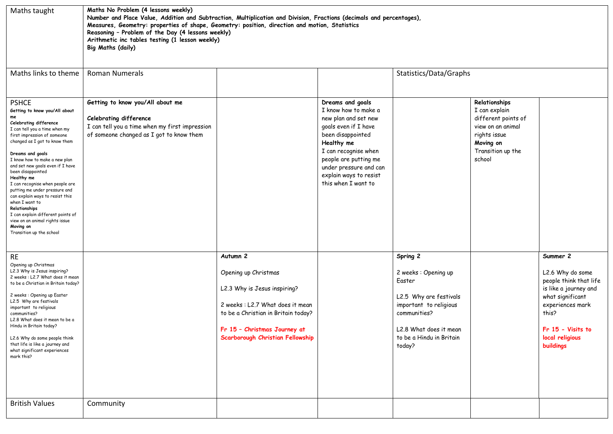| Maths taught                                                                                                                                                                                                                                                                                                                                                                                                                                                                                                                                                         | Maths No Problem (4 lessons weekly)<br>Number and Place Value, Addition and Subtraction, Multiplication and Division, Fractions (decimals and percentages),<br>Measures, Geometry: properties of shape, Geometry: position, direction and motion, Statistics<br>Reasoning - Problem of the Day (4 lessons weekly)<br>Arithmetic inc tables testing (1 lesson weekly)<br><b>Big Maths (daily)</b> |                                                                                                                                                                                                                           |                                                                                                                                                                                                                                                         |                                                                                                                                                                               |                                                                                                                                        |                                                                                                                                                                                       |  |
|----------------------------------------------------------------------------------------------------------------------------------------------------------------------------------------------------------------------------------------------------------------------------------------------------------------------------------------------------------------------------------------------------------------------------------------------------------------------------------------------------------------------------------------------------------------------|--------------------------------------------------------------------------------------------------------------------------------------------------------------------------------------------------------------------------------------------------------------------------------------------------------------------------------------------------------------------------------------------------|---------------------------------------------------------------------------------------------------------------------------------------------------------------------------------------------------------------------------|---------------------------------------------------------------------------------------------------------------------------------------------------------------------------------------------------------------------------------------------------------|-------------------------------------------------------------------------------------------------------------------------------------------------------------------------------|----------------------------------------------------------------------------------------------------------------------------------------|---------------------------------------------------------------------------------------------------------------------------------------------------------------------------------------|--|
| Maths links to theme                                                                                                                                                                                                                                                                                                                                                                                                                                                                                                                                                 | <b>Roman Numerals</b>                                                                                                                                                                                                                                                                                                                                                                            |                                                                                                                                                                                                                           |                                                                                                                                                                                                                                                         | Statistics/Data/Graphs                                                                                                                                                        |                                                                                                                                        |                                                                                                                                                                                       |  |
| <b>PSHCE</b><br>Getting to know you/All about<br>me<br>Celebrating difference<br>I can tell you a time when my<br>first impression of someone<br>changed as I got to know them<br>Dreams and goals<br>I know how to make a new plan<br>and set new goals even if I have<br>been disappointed<br>Healthy me<br>I can recognise when people are<br>putting me under pressure and<br>can explain ways to resist this<br>when I want to<br>Relationships<br>I can explain different points of<br>view on an animal rights issue<br>Moving on<br>Transition up the school | Getting to know you/All about me<br>Celebrating difference<br>I can tell you a time when my first impression<br>of someone changed as I got to know them                                                                                                                                                                                                                                         |                                                                                                                                                                                                                           | Dreams and goals<br>I know how to make a<br>new plan and set new<br>goals even if I have<br>been disappointed<br>Healthy me<br>I can recognise when<br>people are putting me<br>under pressure and can<br>explain ways to resist<br>this when I want to |                                                                                                                                                                               | Relationships<br>I can explain<br>different points of<br>view on an animal<br>rights issue<br>Moving on<br>Transition up the<br>school |                                                                                                                                                                                       |  |
| <b>RE</b><br>Opening up Christmas<br>L2.3 Why is Jesus inspiring?<br>2 weeks: L2.7 What does it mean<br>to be a Christian in Britain today?<br>2 weeks: Opening up Easter<br>L2.5 Why are festivals<br>important to religious<br>communities?<br>L2.8 What does it mean to be a<br>Hindu in Britain today?<br>L2.6 Why do some people think<br>that life is like a journey and<br>what significant experiences<br>mark this?                                                                                                                                         |                                                                                                                                                                                                                                                                                                                                                                                                  | Autumn <sub>2</sub><br>Opening up Christmas<br>L2.3 Why is Jesus inspiring?<br>2 weeks: L2.7 What does it mean<br>to be a Christian in Britain today?<br>Fr 15 - Christmas Journey at<br>Scarborough Christian Fellowship |                                                                                                                                                                                                                                                         | Spring 2<br>2 weeks: Opening up<br>Easter<br>L2.5 Why are festivals<br>important to religious<br>communities?<br>L2.8 What does it mean<br>to be a Hindu in Britain<br>today? |                                                                                                                                        | Summer 2<br>L2.6 Why do some<br>people think that life<br>is like a journey and<br>what significant<br>experiences mark<br>this?<br>Fr 15 - Visits to<br>local religious<br>buildings |  |
| <b>British Values</b>                                                                                                                                                                                                                                                                                                                                                                                                                                                                                                                                                | Community                                                                                                                                                                                                                                                                                                                                                                                        |                                                                                                                                                                                                                           |                                                                                                                                                                                                                                                         |                                                                                                                                                                               |                                                                                                                                        |                                                                                                                                                                                       |  |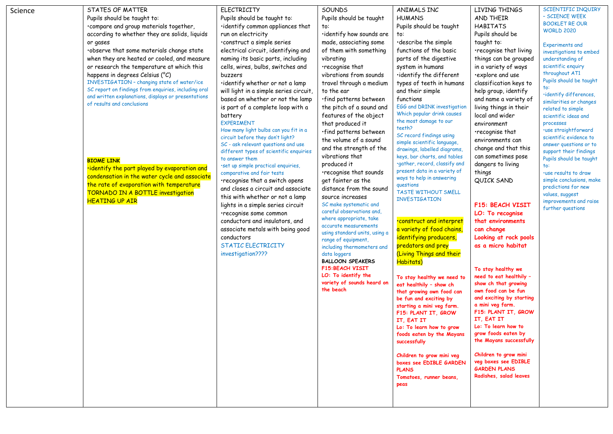| Science | STATES OF MATTER                                     | <b>ELECTRICITY</b>                                        | SOUNDS                                            | ANIMALS INC                                             | LIVING THINGS                                | SCIENTIFIC INQUIRY                                |
|---------|------------------------------------------------------|-----------------------------------------------------------|---------------------------------------------------|---------------------------------------------------------|----------------------------------------------|---------------------------------------------------|
|         | Pupils should be taught to:                          | Pupils should be taught to:                               | Pupils should be taught                           | <b>HUMANS</b>                                           | AND THEIR                                    | - SCIENCE WEEK                                    |
|         | ·compare and group materials together,               | ·identify common appliances that                          | to:                                               | Pupils should be taught                                 | <b>HABITATS</b>                              | <b>BOOKLET RE OUR</b>                             |
|         | according to whether they are solids, liquids        | run on electricity                                        | $\cdot$ identify how sounds are                   | to:                                                     | Pupils should be                             | <b>WORLD 2020</b>                                 |
|         | or gases                                             | ·construct a simple series                                | made, associating some                            | describe the simple                                     | taught to:                                   | <b>Experiments and</b>                            |
|         | .observe that some materials change state            | electrical circuit, identifying and                       | of them with something                            | functions of the basic                                  | •recognise that living                       | investigations to embed                           |
|         | when they are heated or cooled, and measure          | naming its basic parts, including                         | vibrating                                         | parts of the digestive                                  | things can be grouped                        | understanding of                                  |
|         | or research the temperature at which this            | cells, wires, bulbs, switches and                         | ·recognise that                                   | system in humans                                        | in a variety of ways                         | scientific enquiry                                |
|         | happens in degrees Celsius (°C)                      | buzzers                                                   | vibrations from sounds                            | ·identify the different                                 | ·explore and use                             | throughout AT1                                    |
|         | INVESTIGATION - changing state of water/ice          | ·identify whether or not a lamp                           | travel through a medium                           | types of teeth in humans                                | classification keys to                       | Pupils should be taught                           |
|         | SC report on findings from enquiries, including oral | will light in a simple series circuit,                    | to the ear                                        | and their simple                                        | help group, identify                         |                                                   |
|         | and written explanations, displays or presentations  | based on whether or not the lamp                          | ·find patterns between                            | functions                                               | and name a variety of                        | ·identify differences,<br>similarities or changes |
|         | of results and conclusions                           | is part of a complete loop with a                         | the pitch of a sound and                          | EGG and DRINK investigation                             | living things in their                       | related to simple                                 |
|         |                                                      | battery                                                   | features of the object                            | Which popular drink causes                              | local and wider                              | scientific ideas and                              |
|         |                                                      | <b>EXPERIMENT</b>                                         | that produced it                                  | the most damage to our                                  | environment                                  | processes                                         |
|         |                                                      | How many light bulbs can you fit in a                     | ·find patterns between                            | teeth?                                                  | .recognise that                              | ·use straightforward                              |
|         |                                                      | circuit before they don't light?                          | the volume of a sound                             | SC record findings using<br>simple scientific language, | environments can                             | scientific evidence to                            |
|         |                                                      | SC - ask relevant questions and use                       | and the strength of the                           | drawings, labelled diagrams,                            | change and that this                         | answer questions or to                            |
|         |                                                      | different types of scientific enquiries<br>to answer them | vibrations that                                   | keys, bar charts, and tables                            | can sometimes pose                           | support their findings<br>Pupils should be taught |
|         | <b>BIOME LINK</b>                                    | ·set up simple practical enquiries,                       | produced it                                       | ·gather, record, classify and                           | dangers to living                            | to:                                               |
|         | .identify the part played by evaporation and         | comparative and fair tests                                | .recognise that sounds                            | present data in a variety of                            | things                                       | ·use results to draw                              |
|         | condensation in the water cycle and associate        | .recognise that a switch opens                            | get fainter as the                                | ways to help in answering                               | <b>QUICK SAND</b>                            | simple conclusions, make                          |
|         | the rate of evaporation with temperature             | and closes a circuit and associate                        | distance from the sound                           | questions                                               |                                              | predictions for new                               |
|         | <b>TORNADO IN A BOTTLE investigation</b>             | this with whether or not a lamp                           | source increases                                  | <b>TASTE WITHOUT SMELL</b><br><b>INVESTIGATION</b>      |                                              | values, suggest                                   |
|         | <b>HEATING UP AIR</b>                                | lights in a simple series circuit                         | SC make systematic and                            |                                                         | F15: BEACH VISIT                             | improvements and raise                            |
|         |                                                      | ·recognise some common                                    | careful observations and,                         |                                                         | LO: To recognise                             | further questions                                 |
|         |                                                      | conductors and insulators, and                            | where appropriate, take                           | .construct and interpret                                | that environments                            |                                                   |
|         |                                                      | associate metals with being good                          | accurate measurements                             | a variety of food chains,                               | can change                                   |                                                   |
|         |                                                      | conductors                                                | using standard units, using a                     | identifying producers,                                  | Looking at rock pools                        |                                                   |
|         |                                                      | STATIC ELECTRICITY                                        | range of equipment,<br>including thermometers and | predators and prey                                      | as a micro habitat                           |                                                   |
|         |                                                      | investigation????                                         | data loggers                                      | (Living Things and their                                |                                              |                                                   |
|         |                                                      |                                                           | <b>BALLOON SPEAKERS</b>                           | Habitats)                                               |                                              |                                                   |
|         |                                                      |                                                           | <b>F15:BEACH VISIT</b>                            |                                                         | To stay healthy we                           |                                                   |
|         |                                                      |                                                           | LO: To identify the                               | To stay healthy we need to                              | need to eat healthily -                      |                                                   |
|         |                                                      |                                                           | variety of sounds heard on                        | eat healthily - show ch                                 | show ch that growing                         |                                                   |
|         |                                                      |                                                           | the beach                                         | that growing own food can                               | own food can be fun                          |                                                   |
|         |                                                      |                                                           |                                                   | be fun and exciting by                                  | and exciting by starting<br>a mini veg farm. |                                                   |
|         |                                                      |                                                           |                                                   | starting a mini veg farm.<br>F15: PLANT IT, GROW        | F15: PLANT IT, GROW                          |                                                   |
|         |                                                      |                                                           |                                                   | IT, EAT IT                                              | IT, EAT IT                                   |                                                   |
|         |                                                      |                                                           |                                                   | Lo: To learn how to grow                                | Lo: To learn how to                          |                                                   |
|         |                                                      |                                                           |                                                   | foods eaten by the Mayans                               | grow foods eaten by                          |                                                   |
|         |                                                      |                                                           |                                                   | successfully                                            | the Mayans successfully                      |                                                   |
|         |                                                      |                                                           |                                                   |                                                         |                                              |                                                   |
|         |                                                      |                                                           |                                                   | Children to grow mini veg                               | Children to grow mini                        |                                                   |
|         |                                                      |                                                           |                                                   | boxes see EDIBLE GARDEN                                 | veg boxes see EDIBLE<br><b>GARDEN PLANS</b>  |                                                   |
|         |                                                      |                                                           |                                                   | <b>PLANS</b><br>Tomatoes, runner beans,                 | Radishes, salad leaves                       |                                                   |
|         |                                                      |                                                           |                                                   | peas                                                    |                                              |                                                   |
|         |                                                      |                                                           |                                                   |                                                         |                                              |                                                   |
|         |                                                      |                                                           |                                                   |                                                         |                                              |                                                   |
|         |                                                      |                                                           |                                                   |                                                         |                                              |                                                   |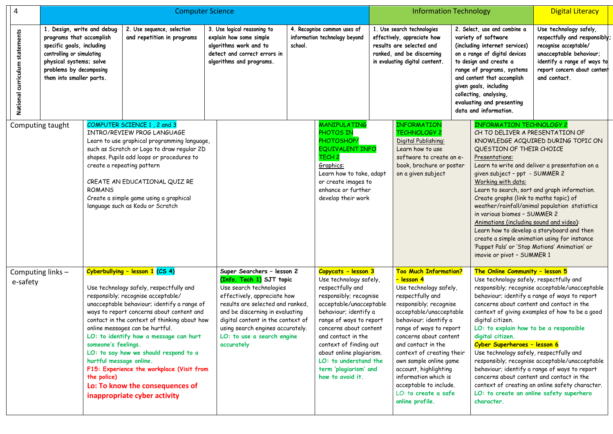| 4                              |                                                                                                                                                                                                    |                                                               | <b>Computer Science</b>                                                                                                                                                                                                                                                                                                                                                                                                                                                                            |                                                                                                                                                                                                                                                                                                              |         |                                                                                                                                                                                                                                                                                                                                                        |  | <b>Information Technology</b>                                                                                                                                                                                                                                                                                                                                                                                                               |  |                                                                                                                                                                                                                                                                                                                                                                                                                              | <b>Digital Literacy</b>                                                                                                                                                                                                                                                                                 |
|--------------------------------|----------------------------------------------------------------------------------------------------------------------------------------------------------------------------------------------------|---------------------------------------------------------------|----------------------------------------------------------------------------------------------------------------------------------------------------------------------------------------------------------------------------------------------------------------------------------------------------------------------------------------------------------------------------------------------------------------------------------------------------------------------------------------------------|--------------------------------------------------------------------------------------------------------------------------------------------------------------------------------------------------------------------------------------------------------------------------------------------------------------|---------|--------------------------------------------------------------------------------------------------------------------------------------------------------------------------------------------------------------------------------------------------------------------------------------------------------------------------------------------------------|--|---------------------------------------------------------------------------------------------------------------------------------------------------------------------------------------------------------------------------------------------------------------------------------------------------------------------------------------------------------------------------------------------------------------------------------------------|--|------------------------------------------------------------------------------------------------------------------------------------------------------------------------------------------------------------------------------------------------------------------------------------------------------------------------------------------------------------------------------------------------------------------------------|---------------------------------------------------------------------------------------------------------------------------------------------------------------------------------------------------------------------------------------------------------------------------------------------------------|
| National curriculum statements | 1. Design, write and debug<br>programs that accomplish<br>specific goals, including<br>controlling or simulating<br>physical systems; solve<br>problems by decomposing<br>them into smaller parts. |                                                               | 2. Use sequence, selection<br>and repetition in programs                                                                                                                                                                                                                                                                                                                                                                                                                                           | 3. Use logical reasoning to<br>explain how some simple<br>algorithms work and to<br>detect and correct errors in<br>algorithms and programs.                                                                                                                                                                 | school. | 4. Recognise common uses of<br>information technology beyond                                                                                                                                                                                                                                                                                           |  | 1. Use search technologies<br>effectively, appreciate how<br>results are selected and<br>ranked, and be discerning<br>in evaluating digital content.                                                                                                                                                                                                                                                                                        |  | 2. Select, use and combine a<br>variety of software<br>(including internet services)<br>on a range of digital devices<br>to design and create a<br>range of programs, systems<br>and content that accomplish<br>given goals, including<br>collecting, analysing,<br>evaluating and presenting<br>data and information.                                                                                                       | Use technology safely,<br>respectfully and responsibly;<br>recognise acceptable/<br>unacceptable behaviour;<br>identify a range of ways to<br>report concern about content<br>and contact.                                                                                                              |
|                                | Computing taught                                                                                                                                                                                   | <b>ROMANS</b>                                                 | COMPUTER SCIENCE 1, 2 and 3<br>INTRO/REVIEW PROG LANGUAGE<br>Learn to use graphical programming language,<br>such as Scratch or Logo to draw regular 2D<br>shapes. Pupils add loops or procedures to<br>create a repeating pattern<br>CREATE AN EDUCATIONAL QUIZ RE<br>Create a simple game using a graphical<br>language such as Kodu or Scratch                                                                                                                                                  |                                                                                                                                                                                                                                                                                                              |         | <b>MANIPULATING</b><br>PHOTOS IN<br>PHOTOSHOP/<br><b>EQUIVALENT INFO</b><br>TECH <sub>2</sub><br>Graphics:<br>Learn how to take, adapt<br>or create images to<br>enhance or further<br>develop their work                                                                                                                                              |  | <b>INFORMATION</b><br><b>TECHNOLOGY 2</b><br>Digital Publishing:<br>Learn how to use<br>software to create an e-<br>book, brochure or poster<br>on a given subject                                                                                                                                                                                                                                                                          |  | <b>INFORMATION TECHNOLOGY 2</b><br>CH TO DELIVER A PRESENTATION OF<br>QUESTION OF THEIR CHOICE<br>Presentations:<br>given subject - ppt - SUMMER 2<br>Working with data:<br>Create graphs (link to maths topic) of<br>in various biomes - SUMMER 2<br>Animations (including sound and video):<br>create a simple animation using for instance<br>'Puppet Pals' or 'Stop Motions' Animation' or<br>imovie or pivot - SUMMER 1 | KNOWLEDGE ACQUIRED DURING TOPIC ON<br>Learn to write and deliver a presentation on a<br>Learn to search, sort and graph information.<br>weather/rainfall/animal population statistics<br>Learn how to develop a storyboard and then                                                                     |
| e-safety                       | Computing links -                                                                                                                                                                                  | someone's feelings.<br>hurtful message online.<br>the police) | Cyberbullying - lesson 1 (CS 4)<br>Use technology safely, respectfully and<br>responsibly; recognise acceptable/<br>unacceptable behaviour; identify a range of<br>ways to report concerns about content and<br>contact in the context of thinking about how<br>online messages can be hurtful.<br>LO: to identify how a message can hurt<br>LO: to say how we should respond to a<br>F15: Experience the workplace (Visit from<br>Lo: To know the consequences of<br>inappropriate cyber activity | Super Searchers - lesson 2<br>(Info. Tech 1) SJT topic<br>Use search technologies<br>effectively, appreciate how<br>results are selected and ranked,<br>and be discerning in evaluating<br>digital content in the context of<br>using search engines accurately.<br>LO: to use a search engine<br>accurately |         | Copycats - lesson 3<br>Use technology safely,<br>respectfully and<br>responsibly; recognise<br>acceptable/unacceptable<br>behaviour; identify a<br>range of ways to report<br>concerns about content<br>and contact in the<br>context of finding out<br>about online plagiarism.<br>LO: to understand the<br>term 'plagiarism' and<br>how to avoid it. |  | <b>Too Much Information?</b><br><mark>- lesson 4</mark><br>Use technology safely,<br>respectfully and<br>responsibly; recognise<br>acceptable/unacceptable<br>behaviour; identify a<br>range of ways to report<br>concerns about content<br>and contact in the<br>context of creating their<br>own sample online game<br>account, highlighting<br>information which is<br>acceptable to include.<br>LO: to create a safe<br>online profile. |  | The Online Community - lesson 5<br>Use technology safely, respectfully and<br>concerns about content and contact in the<br>digital citizen.<br>LO: to explain how to be a responsible<br>digital citizen.<br>Cyber Superheroes - lesson 6<br>Use technology safely, respectfully and<br>concerns about content and contact in the<br>LO: to create an online safety superhero<br>character.                                  | responsibly; recognise acceptable/unacceptable<br>behaviour; identify a range of ways to report<br>context of giving examples of how to be a good<br>responsibly; recognise acceptable/unacceptable<br>behaviour; identify a range of ways to report<br>context of creating an online safety character. |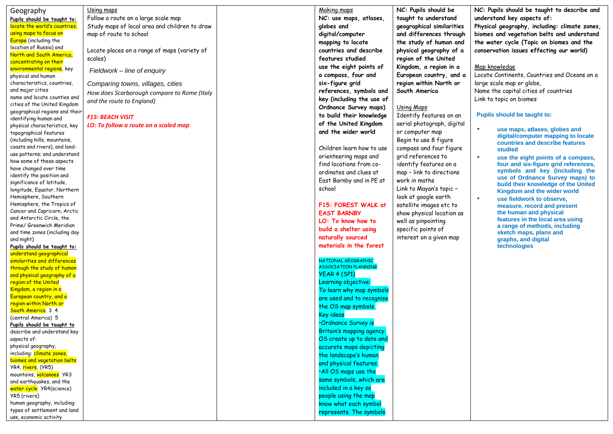| Geography                        | Using maps                                    | Making maps                 | NC: Pupils should be       | NC: Pupils should be taught to describe and                       |
|----------------------------------|-----------------------------------------------|-----------------------------|----------------------------|-------------------------------------------------------------------|
| Pupils should be taught to:      | Follow a route on a large scale map           | NC: use maps, atlases,      | taught to understand       | understand key aspects of:                                        |
| locate the world's countries,    | Study maps of local area and children to draw | globes and                  | geographical similarities  | Physical geography, including: climate zones,                     |
| using maps to focus on           | map of route to school                        | digital/computer            | and differences through    | biomes and vegetation belts and understand                        |
| <b>Europe</b> (including the     |                                               |                             | the study of human and     |                                                                   |
| location of Russia) and          |                                               | mapping to locate           |                            | the water cycle (Topic on biomes and the                          |
| North and South America,         | Locate places on a range of maps (variety of  | countries and describe      | physical geography of a    | conservation issues effecting our world)                          |
| concentrating on their           | scales)                                       | features studied            | region of the United       |                                                                   |
| environmental regions, key       | Fieldwork - line of enquiry                   | use the eight points of     | Kingdom, a region in a     | Map knowledge                                                     |
| physical and human               |                                               | a compass, four and         | European country, and a    | Locate Continents, Countries and Oceans on a                      |
| characteristics, countries,      | Comparing towns, villages, cities             | six-figure grid             | region within North or     | large scale map or globe,                                         |
| and major cities                 |                                               | references, symbols and     | South America              | Name the capital cities of countries                              |
| name and locate counties and     | How does Scarborough compare to Rome (Italy   | key (including the use of   |                            | Link to topic on biomes                                           |
| cities of the United Kingdom     | and the route to England)                     |                             |                            |                                                                   |
| geographical regions and their   |                                               | Ordnance Survey maps)       | <b>Using Maps</b>          |                                                                   |
| identifying human and            | <b>F15: BEACH VISIT</b>                       | to build their knowledge    | Identify features on an    | Pupils should be taught to:                                       |
| physical characteristics, key    | LO: To follow a route on a scaled map         | of the United Kingdom       | aerial photograph, digital |                                                                   |
| topographical features           |                                               | and the wider world         | or computer map            | $\bullet$<br>use maps, atlases, globes and                        |
| (including hills, mountains,     |                                               |                             | Begin to use 8 figure      | digital/computer mapping to locate                                |
| coasts and rivers), and land-    |                                               | Children learn how to use   | compass and four figure    | countries and describe features<br>studied                        |
| use patterns; and understand     |                                               | orienteering maps and       | grid references to         |                                                                   |
| how some of these aspects        |                                               |                             |                            | $\bullet$<br>use the eight points of a compass,                   |
| have changed over time           |                                               | find locations from co-     | identify features on a     | four and six-figure grid references,                              |
| identify the position and        |                                               | ordinates and clues at      | map - link to directions   | symbols and key (including the<br>use of Ordnance Survey maps) to |
| significance of latitude,        |                                               | East Barnby and in PE at    | work in maths              | build their knowledge of the United                               |
| longitude, Equator, Northern     |                                               | school                      | Link to Mayan's topic -    | Kingdom and the wider world                                       |
| Hemisphere, Southern             |                                               |                             | look at google earth       | $\bullet$<br>use fieldwork to observe,                            |
| Hemisphere, the Tropics of       |                                               | F15: FOREST WALK at         | satellite images etc to    | measure, record and present                                       |
| Cancer and Capricorn, Arctic     |                                               | <b>EAST BARNBY</b>          | show physical location as  | the human and physical                                            |
| and Antarctic Circle, the        |                                               |                             |                            | features in the local area using                                  |
| Prime/ Greenwich Meridian        |                                               | LO: To know how to          | well as pinpointing        | a range of methods, including                                     |
| and time zones (including day    |                                               | build a shelter using       | specific points of         | sketch maps, plans and                                            |
| and night)                       |                                               | naturally sourced           | interest on a given map    | graphs, and digital                                               |
| Pupils should be taught to:      |                                               | materials in the forest     |                            | technologies                                                      |
| understand geographical          |                                               |                             |                            |                                                                   |
| similarities and differences     |                                               | NATIONAL GEOGRAPHIC         |                            |                                                                   |
| through the study of human       |                                               | <b>ASSOCIATION PLANNING</b> |                            |                                                                   |
| and physical geography of a      |                                               | <b>YEAR 4 (SP1)</b>         |                            |                                                                   |
| region of the United             |                                               | Learning objective:         |                            |                                                                   |
| Kingdom, a region in a           |                                               | To learn why map symbols    |                            |                                                                   |
| European country, and a          |                                               | are used and to recognise   |                            |                                                                   |
| region within North or           |                                               | the OS map symbols.         |                            |                                                                   |
| South America 3 4                |                                               |                             |                            |                                                                   |
| (central America) 5              |                                               | Key ideas                   |                            |                                                                   |
| Pupils should be taught to       |                                               | Ordnance Survey is          |                            |                                                                   |
| describe and understand key      |                                               | Britain's mapping agency.   |                            |                                                                   |
| aspects of:                      |                                               | OS create up to date and    |                            |                                                                   |
| physical geography,              |                                               | accurate maps depicting     |                            |                                                                   |
| including: climate zones,        |                                               | the landscape's human       |                            |                                                                   |
| biomes and vegetation belts      |                                               | and physical features.      |                            |                                                                   |
| YR4, <mark>rivers</mark> , (YR5) |                                               | $\cdot$ All OS maps use the |                            |                                                                   |
| mountains, volcanoes YR3         |                                               |                             |                            |                                                                   |
| and earthquakes, and the         |                                               | same symbols, which are     |                            |                                                                   |
| water cycle YR4(science)         |                                               | included in a key so        |                            |                                                                   |
| YR5 (rivers)                     |                                               | people using the map        |                            |                                                                   |
| human geography, including:      |                                               | know what each symbol       |                            |                                                                   |
| types of settlement and land     |                                               | represents. The symbols     |                            |                                                                   |
| use, economic activity           |                                               |                             |                            |                                                                   |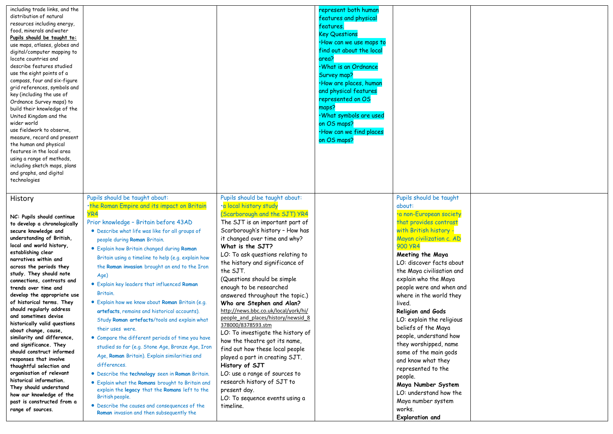| including trade links, and the<br>distribution of natural<br>resources including energy,<br>food, minerals and water<br>Pupils should be taught to:<br>use maps, atlases, globes and<br>digital/computer mapping to<br>locate countries and<br>describe features studied<br>use the eight points of a<br>compass, four and six-figure<br>grid references, symbols and<br>key (including the use of |                                                                                                    |                                                                    | represent both human<br>features and physical<br>features.<br><b>Key Questions</b><br>·How can we use maps to<br>find out about the local<br>area?<br>. What is an Ordnance<br>Survey map?<br>. How are places, human<br>and physical features |                                                       |  |
|----------------------------------------------------------------------------------------------------------------------------------------------------------------------------------------------------------------------------------------------------------------------------------------------------------------------------------------------------------------------------------------------------|----------------------------------------------------------------------------------------------------|--------------------------------------------------------------------|------------------------------------------------------------------------------------------------------------------------------------------------------------------------------------------------------------------------------------------------|-------------------------------------------------------|--|
| Ordnance Survey maps) to<br>build their knowledge of the<br>United Kingdom and the<br>wider world<br>use fieldwork to observe,<br>measure, record and present                                                                                                                                                                                                                                      |                                                                                                    |                                                                    | represented on OS<br>maps?<br>. What symbols are used<br>on OS maps?<br>. How can we find places<br>on OS maps?                                                                                                                                |                                                       |  |
| the human and physical<br>features in the local area<br>using a range of methods,<br>including sketch maps, plans<br>and graphs, and digital<br>technologies                                                                                                                                                                                                                                       |                                                                                                    |                                                                    |                                                                                                                                                                                                                                                |                                                       |  |
| History                                                                                                                                                                                                                                                                                                                                                                                            | Pupils should be taught about:<br>.the Roman Empire and its impact on Britain                      | Pupils should be taught about:<br>·a local history study           |                                                                                                                                                                                                                                                | Pupils should be taught<br>about:                     |  |
| NC: Pupils should continue                                                                                                                                                                                                                                                                                                                                                                         | <b>YR4</b>                                                                                         | (Scarborough and the SJT) YR4                                      |                                                                                                                                                                                                                                                | ·a non-European society                               |  |
| to develop a chronologically<br>secure knowledge and                                                                                                                                                                                                                                                                                                                                               | Prior knowledge - Britain before 43AD<br>• Describe what life was like for all groups of           | The SJT is an important part of<br>Scarborough's history - How has |                                                                                                                                                                                                                                                | that provides contrast<br>with British history -      |  |
| understanding of British,                                                                                                                                                                                                                                                                                                                                                                          | people during Roman Britain.                                                                       | it changed over time and why?                                      |                                                                                                                                                                                                                                                | Mayan civilization c. AD                              |  |
| local and world history,                                                                                                                                                                                                                                                                                                                                                                           | • Explain how Britain changed during Roman                                                         | What is the SJT?                                                   |                                                                                                                                                                                                                                                | <b>900 YR4</b>                                        |  |
| establishing clear<br>narratives within and                                                                                                                                                                                                                                                                                                                                                        | Britain using a timeline to help (e.g. explain how                                                 | LO: To ask questions relating to                                   |                                                                                                                                                                                                                                                | Meeting the Maya                                      |  |
| across the periods they                                                                                                                                                                                                                                                                                                                                                                            | the Roman invasion brought an end to the Iron                                                      | the history and significance of<br>the SJT.                        |                                                                                                                                                                                                                                                | LO: discover facts about<br>the Maya civilisation and |  |
| study. They should note<br>connections, contrasts and                                                                                                                                                                                                                                                                                                                                              | Age)                                                                                               | (Questions should be simple                                        |                                                                                                                                                                                                                                                | explain who the Maya                                  |  |
| trends over time and                                                                                                                                                                                                                                                                                                                                                                               | • Explain key leaders that influenced Roman                                                        | enough to be researched                                            |                                                                                                                                                                                                                                                | people were and when and                              |  |
| develop the appropriate use                                                                                                                                                                                                                                                                                                                                                                        | Britain.                                                                                           | answered throughout the topic.)                                    |                                                                                                                                                                                                                                                | where in the world they                               |  |
| of historical terms. They<br>should regularly address                                                                                                                                                                                                                                                                                                                                              | • Explain how we know about Roman Britain (e.g.<br>artefacts, remains and historical accounts).    | Who are Stephen and Alan?<br>http://news.bbc.co.uk/local/york/hi/  |                                                                                                                                                                                                                                                | lived.                                                |  |
| and sometimes devise                                                                                                                                                                                                                                                                                                                                                                               | Study Roman artefacts/tools and explain what                                                       | people and places/history/newsid 8                                 |                                                                                                                                                                                                                                                | Religion and Gods<br>LO: explain the religious        |  |
| historically valid questions<br>about change, cause,                                                                                                                                                                                                                                                                                                                                               | their uses were.                                                                                   | 378000/8378593.stm                                                 |                                                                                                                                                                                                                                                | beliefs of the Maya                                   |  |
| similarity and difference,                                                                                                                                                                                                                                                                                                                                                                         | • Compare the different periods of time you have                                                   | LO: To investigate the history of<br>how the theatre got its name, |                                                                                                                                                                                                                                                | people, understand how                                |  |
| and significance. They<br>should construct informed                                                                                                                                                                                                                                                                                                                                                | studied so far (e.g. Stone Age, Bronze Age, Iron                                                   | find out how these local people                                    |                                                                                                                                                                                                                                                | they worshipped, name<br>some of the main gods        |  |
| responses that involve                                                                                                                                                                                                                                                                                                                                                                             | Age, Roman Britain). Explain similarities and                                                      | played a part in creating SJT.                                     |                                                                                                                                                                                                                                                | and know what they                                    |  |
| thoughtful selection and                                                                                                                                                                                                                                                                                                                                                                           | differences.                                                                                       | History of SJT                                                     |                                                                                                                                                                                                                                                | represented to the                                    |  |
| organisation of relevant<br>historical information.                                                                                                                                                                                                                                                                                                                                                | . Describe the technology seen in Roman Britain.                                                   | LO: use a range of sources to<br>research history of SJT to        |                                                                                                                                                                                                                                                | people.                                               |  |
| They should understand                                                                                                                                                                                                                                                                                                                                                                             | • Explain what the Romans brought to Britain and<br>explain the legacy that the Romans left to the | present day.                                                       |                                                                                                                                                                                                                                                | Maya Number System                                    |  |
| how our knowledge of the                                                                                                                                                                                                                                                                                                                                                                           | British people.                                                                                    | LO: To sequence events using a                                     |                                                                                                                                                                                                                                                | LO: understand how the<br>Maya number system          |  |
| past is constructed from a<br>range of sources.                                                                                                                                                                                                                                                                                                                                                    | • Describe the causes and consequences of the                                                      | timeline.                                                          |                                                                                                                                                                                                                                                | works.                                                |  |
|                                                                                                                                                                                                                                                                                                                                                                                                    | Roman invasion and then subsequently the                                                           |                                                                    |                                                                                                                                                                                                                                                | Exploration and                                       |  |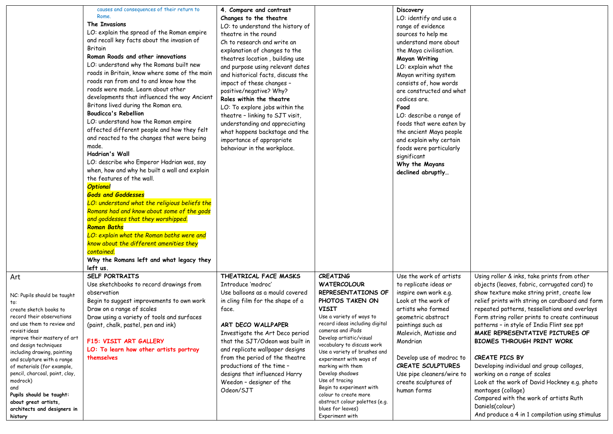|                                                                                                                                                                                                                                                                                                                                                                                                                                                        | causes and consequences of their return to<br>Rome.<br>The Invasions                                                                                                                                                                                                                                                                                                                                                                                                                                                                                                                                                                                                                                                                      | 4. Compare and contrast<br>Changes to the theatre<br>LO: to understand the history of                                                                                                                                                                                                                                                                                                                                              |                                                                                                                                                                                                                                                                                                                                                                                                                                                                                                | Discovery<br>LO: identify and use a<br>range of evidence                                                                                                                                                                                                                                                                                                            |                                                                                                                                                                                                                                                                                                                                                                                                                                                                                                                                                                                                                                                                                                           |
|--------------------------------------------------------------------------------------------------------------------------------------------------------------------------------------------------------------------------------------------------------------------------------------------------------------------------------------------------------------------------------------------------------------------------------------------------------|-------------------------------------------------------------------------------------------------------------------------------------------------------------------------------------------------------------------------------------------------------------------------------------------------------------------------------------------------------------------------------------------------------------------------------------------------------------------------------------------------------------------------------------------------------------------------------------------------------------------------------------------------------------------------------------------------------------------------------------------|------------------------------------------------------------------------------------------------------------------------------------------------------------------------------------------------------------------------------------------------------------------------------------------------------------------------------------------------------------------------------------------------------------------------------------|------------------------------------------------------------------------------------------------------------------------------------------------------------------------------------------------------------------------------------------------------------------------------------------------------------------------------------------------------------------------------------------------------------------------------------------------------------------------------------------------|---------------------------------------------------------------------------------------------------------------------------------------------------------------------------------------------------------------------------------------------------------------------------------------------------------------------------------------------------------------------|-----------------------------------------------------------------------------------------------------------------------------------------------------------------------------------------------------------------------------------------------------------------------------------------------------------------------------------------------------------------------------------------------------------------------------------------------------------------------------------------------------------------------------------------------------------------------------------------------------------------------------------------------------------------------------------------------------------|
|                                                                                                                                                                                                                                                                                                                                                                                                                                                        | LO: explain the spread of the Roman empire<br>and recall key facts about the invasion of                                                                                                                                                                                                                                                                                                                                                                                                                                                                                                                                                                                                                                                  | theatre in the round<br>Ch to research and write an                                                                                                                                                                                                                                                                                                                                                                                |                                                                                                                                                                                                                                                                                                                                                                                                                                                                                                | sources to help me<br>understand more about                                                                                                                                                                                                                                                                                                                         |                                                                                                                                                                                                                                                                                                                                                                                                                                                                                                                                                                                                                                                                                                           |
|                                                                                                                                                                                                                                                                                                                                                                                                                                                        | Britain<br>Roman Roads and other innovations<br>LO: understand why the Romans built new<br>roads in Britain, know where some of the main<br>roads ran from and to and know how the<br>roads were made. Learn about other<br>developments that influenced the way Ancient<br>Britons lived during the Roman era.<br><b>Boudicca's Rebellion</b><br>LO: understand how the Roman empire<br>affected different people and how they felt<br>and reacted to the changes that were being<br>made.<br>Hadrian's Wall<br>LO: describe who Emperor Hadrian was, say<br>when, how and why he built a wall and explain<br>the features of the wall.<br><b>Optional</b><br><b>Gods and Goddesses</b><br>LO: understand what the religious beliefs the | explanation of changes to the<br>theatres location, building use<br>and purpose using relevant dates<br>and historical facts, discuss the<br>impact of these changes -<br>positive/negative? Why?<br>Roles within the theatre<br>LO: To explore jobs within the<br>theatre - linking to SJT visit,<br>understanding and appreciating<br>what happens backstage and the<br>importance of appropriate<br>behaviour in the workplace. |                                                                                                                                                                                                                                                                                                                                                                                                                                                                                                | the Maya civilisation.<br>Mayan Writing<br>LO: explain what the<br>Mayan writing system<br>consists of, how words<br>are constructed and what<br>codices are.<br>Food<br>LO: describe a range of<br>foods that were eaten by<br>the ancient Maya people<br>and explain why certain<br>foods were particularly<br>significant<br>Why the Mayans<br>declined abruptly |                                                                                                                                                                                                                                                                                                                                                                                                                                                                                                                                                                                                                                                                                                           |
|                                                                                                                                                                                                                                                                                                                                                                                                                                                        | Romans had and know about some of the gods<br>and goddesses that they worshipped.<br><b>Roman Baths</b><br>LO: explain what the Roman baths were and<br>know about the different amenities they<br>contained.<br>Why the Romans left and what legacy they<br>left us.                                                                                                                                                                                                                                                                                                                                                                                                                                                                     |                                                                                                                                                                                                                                                                                                                                                                                                                                    |                                                                                                                                                                                                                                                                                                                                                                                                                                                                                                |                                                                                                                                                                                                                                                                                                                                                                     |                                                                                                                                                                                                                                                                                                                                                                                                                                                                                                                                                                                                                                                                                                           |
| Art<br>NC: Pupils should be taught<br>to:<br>create sketch books to<br>record their observations<br>and use them to review and<br>revisit ideas<br>improve their mastery of art<br>and design techniques<br>including drawing, painting<br>and sculpture with a range<br>of materials (for example,<br>pencil, charcoal, paint, clay,<br>modrock)<br>and<br>Pupils should be taught:<br>about great artists,<br>architects and designers in<br>history | SELF PORTRAITS<br>Use sketchbooks to record drawings from<br>observation<br>Begin to suggest improvements to own work<br>Draw on a range of scales<br>Draw using a variety of tools and surfaces<br>(paint, chalk, pastel, pen and ink)<br>F15: VISIT ART GALLERY<br>LO: To learn how other artists portray<br>themselves                                                                                                                                                                                                                                                                                                                                                                                                                 | THEATRICAL FACE MASKS<br>Introduce 'modroc'<br>Use balloons as a mould covered<br>in cling film for the shape of a<br>face.<br>ART DECO WALLPAPER<br>Investigate the Art Deco period<br>that the SJT/Odeon was built in<br>and replicate wallpaper designs<br>from the period of the theatre<br>productions of the time -<br>designs that influenced Harry<br>Weedon - designer of the<br>Odeon/SJT                                | <b>CREATING</b><br><b>WATERCOLOUR</b><br>REPRESENTATIONS OF<br>PHOTOS TAKEN ON<br><b>VISIT</b><br>Use a variety of ways to<br>record ideas including digital<br>cameras and iPads<br>Develop artistic/visual<br>vocabulary to discuss work<br>Use a variety of brushes and<br>experiment with ways of<br>marking with them<br>Develop shadows<br>Use of tracing<br>Begin to experiment with<br>colour to create more<br>abstract colour palettes (e.g.<br>blues for leaves)<br>Experiment with | Use the work of artists<br>to replicate ideas or<br>inspire own work e.g.<br>Look at the work of<br>artists who formed<br>geometric abstract<br>paintings such as<br>Malevich, Matisse and<br>Mondrian<br>Develop use of modroc to<br><b>CREATE SCULPTURES</b><br>Use pipe cleaners/wire to<br>create sculptures of<br>human forms                                  | Using roller & inks, take prints from other<br>objects (leaves, fabric, corrugated card) to<br>show texture make string print, create low<br>relief prints with string on cardboard and form<br>repeated patterns, tessellations and overlays<br>Form string roller prints to create continuous<br>patterns - in style of India Flint see ppt<br>MAKE REPRESENTATIVE PICTURES OF<br><b>BIOMES THROUGH PRINT WORK</b><br>CREATE PICS BY<br>Developing individual and group collages,<br>working on a range of scales<br>Look at the work of David Hockney e.g. photo<br>montages (collage)<br>Compared with the work of artists Ruth<br>Daniels(colour)<br>And produce a 4 in 1 compilation using stimulus |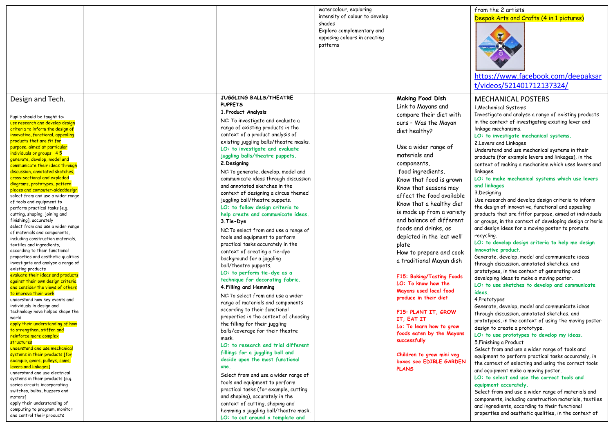|                                                                    |                                        | watercolour, exploring         |                            |                                                                 |
|--------------------------------------------------------------------|----------------------------------------|--------------------------------|----------------------------|-----------------------------------------------------------------|
|                                                                    |                                        |                                |                            | from the 2 artists                                              |
|                                                                    |                                        | intensity of colour to develop |                            | Deepak Arts and Crafts (4 in 1 pictures)                        |
|                                                                    |                                        | shades                         |                            |                                                                 |
|                                                                    |                                        | Explore complementary and      |                            |                                                                 |
|                                                                    |                                        | opposing colours in creating   |                            |                                                                 |
|                                                                    |                                        | patterns                       |                            |                                                                 |
|                                                                    |                                        |                                |                            |                                                                 |
|                                                                    |                                        |                                |                            |                                                                 |
|                                                                    |                                        |                                |                            |                                                                 |
|                                                                    |                                        |                                |                            |                                                                 |
|                                                                    |                                        |                                |                            | https://www.facebook.com/deepaksar                              |
|                                                                    |                                        |                                |                            | t/videos/521401712137324/                                       |
|                                                                    |                                        |                                |                            |                                                                 |
| Design and Tech.                                                   | <b>JUGGLING BALLS/THEATRE</b>          |                                | Making Food Dish           | <b>MECHANICAL POSTERS</b>                                       |
|                                                                    | <b>PUPPETS</b>                         |                                |                            |                                                                 |
|                                                                    | 1. Product Analysis                    |                                | Link to Mayans and         | 1.Mechanical Systems                                            |
| Pupils should be taught to:                                        |                                        |                                | compare their diet with    | Investigate and analyse a range of existing products            |
| use research and develop design                                    | NC: To investigate and evaluate a      |                                | ours - Was the Mayan       | in the context of investigating existing lever and              |
| criteria to inform the design of                                   | range of existing products in the      |                                | diet healthy?              | linkage mechanisms.                                             |
| innovative, functional, appealing                                  | context of a product analysis of       |                                |                            | LO: to investigate mechanical systems.                          |
| products that are fit for                                          | existing juggling balls/theatre masks. |                                |                            | 2. Levers and Linkages                                          |
| purpose, aimed at particular                                       | LO: to investigate and evaluate        |                                | Use a wider range of       | Understand and use mechanical systems in their                  |
| individuals or groups 45                                           | juggling balls/theatre puppets.        |                                | materials and              | products (for example levers and linkages), in the              |
| generate, develop, model and                                       | 2. Designing                           |                                | components,                | context of making a mechanism which uses levers and             |
| communicate their ideas through<br>discussion, annotated sketches, | NC: To generate, develop, model and    |                                | food ingredients,          | linkages.                                                       |
| cross-sectional and exploded                                       | communicate ideas through discussion   |                                |                            | LO: to make mechanical systems which use levers                 |
| diagrams, prototypes, pattern                                      |                                        |                                | Know that food is grown    |                                                                 |
| pieces and computer-aideddesign                                    | and annotated sketches in the          |                                | Know that seasons may      | and linkages                                                    |
| select from and use a wider range                                  | context of designing a circus themed   |                                | affect the food available  | 3.Designing                                                     |
| of tools and equipment to                                          | juggling ball/theatre puppets.         |                                | Know that a healthy diet   | Use research and develop design criteria to inform              |
| perform practical tasks [e.g.                                      | LO: to follow design criteria to       |                                |                            | the design of innovative, functional and appealing              |
| cutting, shaping, joining and                                      | help create and communicate ideas.     |                                | is made up from a variety  | products that are fitfor purpose, aimed at individuals          |
| finishing], accurately                                             | 3. Tie-Dye                             |                                | and balance of different   | or groups, in the context of developing design criteria         |
| select from and use a wider range                                  | NC: To select from and use a range of  |                                | foods and drinks, as       | and design ideas for a moving poster to promote                 |
| of materials and components,<br>including construction materials,  | tools and equipment to perform         |                                | depicted in the 'eat well' | recycling.                                                      |
| textiles and ingredients,                                          | practical tasks accurately in the      |                                | plate                      | LO: to develop design criteria to help me design                |
| according to their functional                                      | context of creating a tie-dye          |                                |                            | innovative product.                                             |
| properties and aesthetic qualities                                 | background for a juggling              |                                | How to prepare and cook    | Generate, develop, model and communicate ideas                  |
| investigate and analyse a range of                                 | ball/theatre puppets.                  |                                | a traditional Mayan dish   | through discussion, annotated sketches, and                     |
| existing products                                                  | LO: to perform tie-dye as a            |                                |                            | prototypes, in the context of generating and                    |
| evaluate their ideas and products                                  |                                        |                                | F15: Baking/Tasting Foods  | developing ideas to make a moving poster.                       |
| against their own design criteria                                  | technique for decorating fabric.       |                                | LO: To know how the        | LO: to use sketches to develop and communicate                  |
| and consider the views of others                                   | 4. Filling and Hemming                 |                                | Mayans used local food     | ideas.                                                          |
| to improve their work<br>understand how key events and             | NC: To select from and use a wider     |                                | produce in their diet      |                                                                 |
| individuals in design and                                          | range of materials and components      |                                |                            | 4. Prototypes<br>Generate, develop, model and communicate ideas |
| technology have helped shape the                                   | according to their functional          |                                | F15: PLANT IT, GROW        |                                                                 |
| world                                                              | properties in the context of choosing  |                                | IT, EAT IT                 | through discussion, annotated sketches, and                     |
| apply their understanding of how                                   | the filling for their juggling         |                                | Lo: To learn how to grow   | prototypes, in the context of using the moving poster           |
| <mark>to strengthen, stiffen and</mark>                            | balls/coverage for their theatre       |                                |                            | design to create a prototype.                                   |
| reinforce more complex                                             | mask.                                  |                                | foods eaten by the Mayans  | LO: to use prototypes to develop my ideas.                      |
| structures                                                         | LO: to research and trial different    |                                | successfully               | 5. Finishing a Product                                          |
| understand and use mechanical                                      | fillings for a juggling ball and       |                                |                            | Select from and use a wider range of tools and                  |
| systems in their products [for                                     | decide upon the most functional        |                                | Children to grow mini veg  | equipment to perform practical tasks accurately, in             |
| example, gears, pulleys, cams,<br>levers and linkages]             |                                        |                                | boxes see EDIBLE GARDEN    | the context of selecting and using the correct tools            |
| understand and use electrical                                      | one.                                   |                                | <b>PLANS</b>               | and equipment make a moving poster.                             |
| systems in their products [e.g.                                    | Select from and use a wider range of   |                                |                            | LO: to select and use the correct tools and                     |
| series circuits incorporating                                      | tools and equipment to perform         |                                |                            | equipment accurately.                                           |
| switches, bulbs, buzzers and                                       | practical tasks (for example, cutting  |                                |                            | Select from and use a wider range of materials and              |
| motors]                                                            | and shaping), accurately in the        |                                |                            | components, including construction materials, textiles          |
| apply their understanding of                                       | context of cutting, shaping and        |                                |                            |                                                                 |
| computing to program, monitor                                      | hemming a juggling ball/theatre mask.  |                                |                            | and ingredients, according to their functional                  |
| and control their products                                         | LO: to cut around a template and       |                                |                            | properties and aesthetic qualities, in the context of           |
|                                                                    |                                        |                                |                            |                                                                 |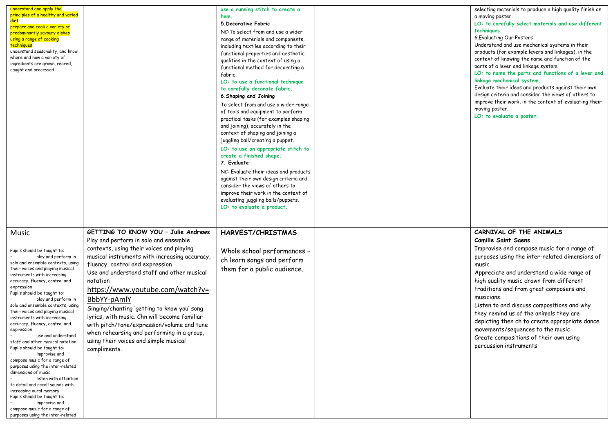| understand and apply the<br>principles of a healthy and varied<br>prepare and cook a variety of<br>predominantly savoury dishes<br>using a range of cooking<br>techniques<br>understand seasonality, and know<br>where and how a variety of<br>ingredients are grown, reared,<br>caught and processed                                                                                                                                                                                                                                                                                                                                                                                                                                                                                                                                              |                                                                                                                                                                                                                                                                                                                                                                                                                                                                                                                                                                              | use a running stitch to create a<br>hem.<br>5. Decorative Fabric<br>NC: To select from and use a wider<br>range of materials and components,<br>including textiles according to their<br>functional properties and aesthetic<br>qualities in the context of using a<br>functional method for decorating a<br>fabric.<br>LO: to use a functional technique<br>to carefully decorate fabric.<br>6. Shaping and Joining<br>To select from and use a wider range<br>of tools and equipment to perform<br>practical tasks (for examples shaping<br>and joining), accurately in the<br>context of shaping and joining a<br>juggling ball/creating a puppet.<br>LO: to use an appropriate stitch to<br>create a finished shape.<br>7. Evaluate<br>NC: Evaluate their ideas and products<br>against their own design criteria and<br>consider the views of others to<br>improve their work in the context of<br>evaluating juggling balls/puppets.<br>LO: to evaluate a product. |  | selecting materials to produce a high quality finish on<br>a moving poster.<br>LO: to carefully select materials and use different<br>techniques.<br>6. Evaluating Our Posters<br>Understand and use mechanical systems in their<br>products (for example levers and linkages), in the<br>context of knowing the name and function of the<br>parts of a lever and linkage system.<br>LO: to name the parts and functions of a lever and<br>linkage mechanical system.<br>Evaluate their ideas and products against their own<br>design criteria and consider the views of others to<br>improve their work, in the context of evaluating their<br>moving poster.<br>LO: to evaluate a poster. |
|----------------------------------------------------------------------------------------------------------------------------------------------------------------------------------------------------------------------------------------------------------------------------------------------------------------------------------------------------------------------------------------------------------------------------------------------------------------------------------------------------------------------------------------------------------------------------------------------------------------------------------------------------------------------------------------------------------------------------------------------------------------------------------------------------------------------------------------------------|------------------------------------------------------------------------------------------------------------------------------------------------------------------------------------------------------------------------------------------------------------------------------------------------------------------------------------------------------------------------------------------------------------------------------------------------------------------------------------------------------------------------------------------------------------------------------|--------------------------------------------------------------------------------------------------------------------------------------------------------------------------------------------------------------------------------------------------------------------------------------------------------------------------------------------------------------------------------------------------------------------------------------------------------------------------------------------------------------------------------------------------------------------------------------------------------------------------------------------------------------------------------------------------------------------------------------------------------------------------------------------------------------------------------------------------------------------------------------------------------------------------------------------------------------------------|--|----------------------------------------------------------------------------------------------------------------------------------------------------------------------------------------------------------------------------------------------------------------------------------------------------------------------------------------------------------------------------------------------------------------------------------------------------------------------------------------------------------------------------------------------------------------------------------------------------------------------------------------------------------------------------------------------|
| Music<br>Pupils should be taught to:<br>play and perform in<br>solo and ensemble contexts, using<br>their voices and playing musical<br>instruments with increasing<br>accuracy, fluency, control and<br>expression<br>Pupils should be taught to:<br>play and perform in<br>solo and ensemble contexts, using<br>their voices and playing musical<br>instruments with increasing<br>accuracy, fluency, control and<br>exnression<br>use and understand<br>staff and other musical notation<br>Pupils should be taught to:<br>improvise and<br>compose music for a range of<br>purposes using the inter-related<br>dimensions of music<br>listen with attention<br>to detail and recall sounds with<br>increasing aural memory<br>Pupils should be taught to:<br>improvise and<br>compose music for a range of<br>purposes using the inter-related | GETTING TO KNOW YOU - Julie Andrews<br>Play and perform in solo and ensemble<br>contexts, using their voices and playing<br>musical instruments with increasing accuracy<br>fluency, control and expression<br>Use and understand staff and other musical<br>notation<br>https://www.youtube.com/watch?v=<br>BbbYY-pAmlY<br>Singing/chanting 'getting to know you' song<br>lyrics, with music. Chn will become familiar<br>with pitch/tone/expression/volume and tune<br>when rehearsing and performing in a group,<br>using their voices and simple musical<br>compliments. | <b>HARVEST/CHRISTMAS</b><br>Whole school performances -<br>ch learn songs and perform<br>them for a public audience.                                                                                                                                                                                                                                                                                                                                                                                                                                                                                                                                                                                                                                                                                                                                                                                                                                                     |  | CARNIVAL OF THE ANIMALS<br><b>Camille Saint Saens</b><br>Improvise and compose music for a range of<br>purposes using the inter-related dimensions of<br>music<br>Appreciate and understand a wide range of<br>high quality music drawn from different<br>traditions and from great composers and<br>musicians.<br>Listen to and discuss compositions and why<br>they remind us of the animals they are<br>depicting then ch to create appropriate dance<br>movements/sequences to the music<br>Create compositions of their own using<br>percussion instruments                                                                                                                             |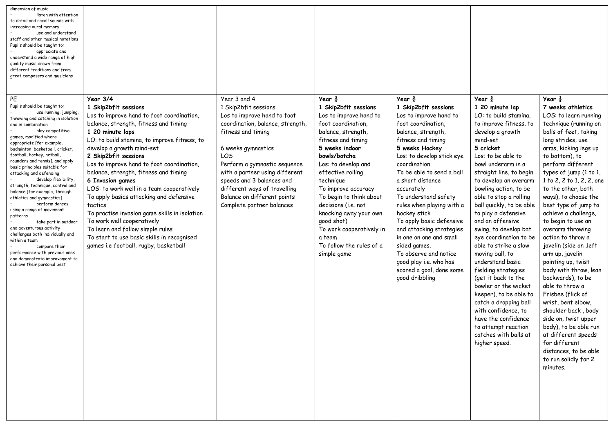| dimension of music<br>listen with attention<br>to detail and recall sounds with<br>increasing aural memory<br>use and understand<br>staff and other musical notations<br>Pupils should be taught to:<br>appreciate and<br>understand a wide range of high<br>quality music drawn from<br>different traditions and from<br>great composers and musicians                                                                                                                                                                                                                                                                                                                                                                                                                            |                                                                                                                                                                                                                                                                                                                                                                                                                                                                                                                                                                                                                                                                        |                                                                                                                                                                                                                                                                                                                                                              |                                                                                                                                                                                                                                                                                                                                                                                                                                     |                                                                                                                                                                                                                                                                                                                                                                                                                                                                                                                                               |                                                                                                                                                                                                                                                                                                                                                                                                                                                                                                                                                                                                                                                                                                                            |                                                                                                                                                                                                                                                                                                                                                                                                                                                                                                                                                                                                                                                                                                                                                                                          |
|------------------------------------------------------------------------------------------------------------------------------------------------------------------------------------------------------------------------------------------------------------------------------------------------------------------------------------------------------------------------------------------------------------------------------------------------------------------------------------------------------------------------------------------------------------------------------------------------------------------------------------------------------------------------------------------------------------------------------------------------------------------------------------|------------------------------------------------------------------------------------------------------------------------------------------------------------------------------------------------------------------------------------------------------------------------------------------------------------------------------------------------------------------------------------------------------------------------------------------------------------------------------------------------------------------------------------------------------------------------------------------------------------------------------------------------------------------------|--------------------------------------------------------------------------------------------------------------------------------------------------------------------------------------------------------------------------------------------------------------------------------------------------------------------------------------------------------------|-------------------------------------------------------------------------------------------------------------------------------------------------------------------------------------------------------------------------------------------------------------------------------------------------------------------------------------------------------------------------------------------------------------------------------------|-----------------------------------------------------------------------------------------------------------------------------------------------------------------------------------------------------------------------------------------------------------------------------------------------------------------------------------------------------------------------------------------------------------------------------------------------------------------------------------------------------------------------------------------------|----------------------------------------------------------------------------------------------------------------------------------------------------------------------------------------------------------------------------------------------------------------------------------------------------------------------------------------------------------------------------------------------------------------------------------------------------------------------------------------------------------------------------------------------------------------------------------------------------------------------------------------------------------------------------------------------------------------------------|------------------------------------------------------------------------------------------------------------------------------------------------------------------------------------------------------------------------------------------------------------------------------------------------------------------------------------------------------------------------------------------------------------------------------------------------------------------------------------------------------------------------------------------------------------------------------------------------------------------------------------------------------------------------------------------------------------------------------------------------------------------------------------------|
| PE<br>Pupils should be taught to:<br>use running, jumping,<br>throwing and catching in isolation<br>and in combination<br>play competitive<br>games, modified where<br>appropriate [for example,<br>badminton, basketball, cricket,<br>football, hockey, netball,<br>rounders and tennis], and apply<br>basic principles suitable for<br>attacking and defending<br>develop flexibility,<br>strength, technique, control and<br>balance [for example, through<br>athletics and gymnastics]<br>perform dances<br>using a range of movement<br>patterns<br>take part in outdoor<br>and adventurous activity<br>challenges both individually and<br>within a team<br>compare their<br>performance with previous ones<br>and demonstrate improvement to<br>achieve their personal best | Year 3/4<br>1 Skip2bfit sessions<br>Los to improve hand to foot coordination,<br>balance, strength, fitness and timing<br>1 20 minute laps<br>LO: to build stamina, to improve fitness, to<br>develop a growth mind-set<br>2 Skip2bfit sessions<br>Los to improve hand to foot coordination,<br>balance, strength, fitness and timing<br>6 Invasion games<br>LOS: to work well in a team cooperatively<br>To apply basics attacking and defensive<br>tactics<br>To practise invasion game skills in isolation<br>To work well cooperatively<br>To learn and follow simple rules<br>To start to use basic skills in recognised<br>games i.e football, rugby, basketball | Year 3 and 4<br>1 Skip2bfit sessions<br>Los to improve hand to foot<br>coordination, balance, strength,<br>fitness and timing<br>6 weeks gymnastics<br><b>LOS</b><br>Perform a gymnastic sequence<br>with a partner using different<br>speeds and 3 balances and<br>different ways of travelling<br>Balance on different points<br>Complete partner balances | Year $\frac{3}{4}$<br>1 Skip2bfit sessions<br>Los to improve hand to<br>foot coordination,<br>balance, strength,<br>fitness and timing<br>5 weeks indoor<br>bowls/botcha<br>Los: to develop and<br>effective rolling<br>technique<br>To improve accuracy<br>To begin to think about<br>decisions (i.e. not<br>knocking away your own<br>qood shot)<br>To work cooperatively in<br>a team<br>To follow the rules of a<br>simple game | Year $\frac{3}{4}$<br>1 Skip2bfit sessions<br>Los to improve hand to<br>foot coordination,<br>balance, strength,<br>fitness and timing<br>5 weeks Hockey<br>Los: to develop stick eye<br>coordination<br>To be able to send a ball<br>a short distance<br>accurately<br>To understand safety<br>rules when playing with a<br>hockey stick<br>To apply basic defensive<br>and attacking strategies<br>in one on one and small<br>sided games.<br>To observe and notice<br>good play i.e. who has<br>scored a goal, done some<br>good dribbling | Year $\frac{3}{4}$<br>1 20 minute lap<br>LO: to build stamina,<br>to improve fitness, to<br>develop a growth<br>mind-set<br>5 cricket<br>Los: to be able to<br>bowl underarm in a<br>straight line, to begin<br>to develop an overarm<br>bowling action, to be<br>able to stop a rolling<br>ball quickly, to be able<br>to play a defensive<br>and an offensive<br>swing, to develop bat<br>eye coordination to be<br>able to strike a slow<br>moving ball, to<br>understand basic<br>fielding strategies<br>(get it back to the<br>bowler or the wicket<br>keeper), to be able to<br>catch a dropping ball<br>with confidence, to<br>have the confidence<br>to attempt reaction<br>catches with balls at<br>higher speed. | Year $\frac{3}{4}$<br>7 weeks athletics<br>LOS: to learn running<br>technique (running on<br>balls of feet, taking<br>long strides, use<br>arms, kicking legs up<br>to bottom), to<br>perform different<br>types of jump (1 to 1,<br>1 to 2, 2 to 1, 2, 2, one<br>to the other, both<br>ways), to choose the<br>best type of jump to<br>achieve a challenge,<br>to begin to use an<br>overarm throwing<br>action to throw a<br>javelin (side on , left<br>arm up, javelin<br>pointing up, twist<br>body with throw, lean<br>backwards), to be<br>able to throw a<br>Frisbee (flick of<br>wrist, bent elbow,<br>shoulder back, body<br>side on, twist upper<br>body), to be able run<br>at different speeds<br>for different<br>distances, to be able<br>to run solidly for 2<br>minutes. |